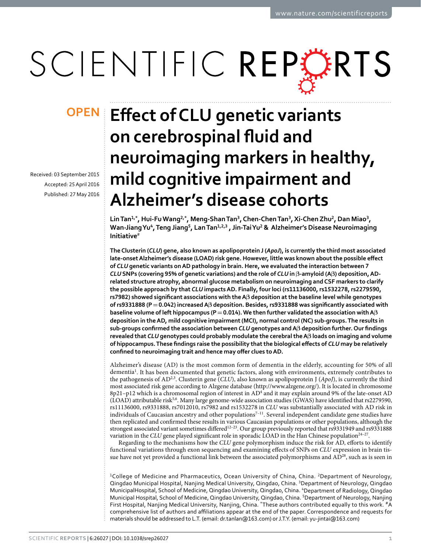# SCIENTIFIC REPERTS

Received: 03 September 2015 accepted: 25 April 2016 Published: 27 May 2016

## **Effect of CLU genetic variants OPENon cerebrospinal fluid and neuroimaging markers in healthy, mild cognitive impairment and Alzheimer's disease cohorts**

**LinTan1,\*, Hui-FuWang2,\*, Meng-ShanTan3, Chen-ChenTan3, Xi-ChenZhu2, Dan Miao3,**  Wan-Jiang Yu<sup>4</sup>, Teng Jiang<sup>5</sup>, Lan Tan<sup>1,2,3</sup>, Jin-Tai Yu<sup>2</sup> & Alzheimer's Disease Neuroimaging **Initiative**#

**The Clusterin (***CLU***) gene, also known as apolipoprotein J (***ApoJ***), is currently the third most associated late-onset Alzheimer's disease (LOAD) risk gene. However, little was known about the possible effect of** *CLU* **genetic variants on AD pathology in brain. Here, we evaluated the interaction between 7**  *CLU* **SNPs (covering 95% of genetic variations) and the role of** *CLU* **in β-amyloid (Aβ) deposition, ADrelated structure atrophy, abnormal glucose metabolism on neuroimaging and CSF markers to clarify the possible approach by that** *CLU* **impacts AD. Finally, four loci (rs11136000, rs1532278, rs2279590, rs7982) showed significant associations with the Aβ deposition at the baseline level while genotypes of rs9331888 (P=0.042) increased Aβ deposition. Besides, rs9331888 was significantly associated with baseline volume of left hippocampus (P=0.014). We then further validated the association with Aβ deposition in the AD, mild cognitive impairment (MCI), normal control (NC) sub-groups. The results in sub-groups confirmed the association between** *CLU* **genotypes and Aβ deposition further. Our findings revealed that** *CLU* **genotypes could probably modulate the cerebral the Aβ loads on imaging and volume of hippocampus. These findings raise the possibility that the biological effects of** *CLU* **may be relatively confined to neuroimaging trait and hence may offer clues to AD.**

Alzheimer's disease (AD) is the most common form of dementia in the elderly, accounting for 50% of all dementia<sup>1</sup>. It has been documented that genetic factors, along with environments, extremely contributes to the pathogenesis of A[D2](#page-7-1),[3](#page-7-2). Clusterin gene (*CLU*), also known as apolipoprotein J (*ApoJ*), is currently the third most associated risk gene according to Alzgene database (<http://www.alzgene.org/>). It is located in chromosome  $8p21-p12$  which is a chromosomal region of interest in  $AD^4$  and it may explain around 9% of the late-onset  $AD$ (LOAD) attributable risk<sup>[5,](#page-7-4)6</sup>. Many large genome-wide association studies (GWAS) have identified that rs2279590, rs11136000, rs9331888, rs7012010, rs7982 and rs1532278 in *CLU* was substantially associated with AD risk in individuals of Caucasian ancestry and other populations<sup>7-11</sup>. Several independent candidate gene studies have then replicated and confirmed these results in various Caucasian populations or other populations, although the strongest associated variant sometimes differed<sup>12-23</sup>. Our group previously reported that rs9331949 and rs9331888 variation in the *CLU* gene played significant role in sporadic LOAD in the Han Chinese population<sup>24-27</sup>.

Regarding to the mechanisms how the *CLU* gene polymorphism induce the risk for AD, efforts to identify functional variations through exon sequencing and examining effects of SNPs on *CLU* expression in brain tis-sue have not yet provided a functional link between the associated polymorphisms and AD<sup>[28](#page-7-9)</sup>, such as is seen in

<sup>1</sup>College of Medicine and Pharmaceutics, Ocean University of China, China. <sup>2</sup>Department of Neurology, Qingdao Municipal Hospital, Nanjing Medical University, Qingdao, China. <sup>3</sup>Department of Neurology, Qingdao MunicipalHospital, School of Medicine, Qingdao University, Qingdao, China. <sup>4</sup> Department of Radiology, Qingdao Municipal Hospital, School of Medicine, Qingdao University, Qingdao, China. <sup>5</sup> Department of Neurology, Nanjing First Hospital, Nanjing Medical University, Nanjing, China. \*These authors contributed equally to this work. #A comprehensive list of authors and affiliations appear at the end of the paper. Correspondence and requests for materials should be addressed to L.T. (email: [dr.tanlan@163.com\)](mailto:dr.tanlan@163.com) or J.T.Y. (email: [yu-jintai@163.com](mailto:yu-jintai@163.com))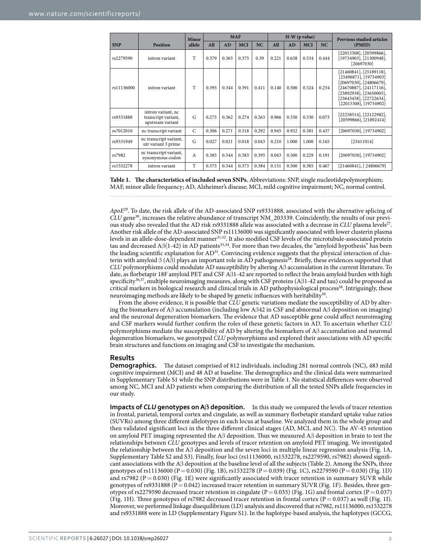<span id="page-1-0"></span>

|            | <b>Position</b>                                               | Minor<br>allele | <b>MAF</b> |       |            |           | $H-W$ (p value) |       |            | <b>Previous studied articles</b> |                                                                                                                                                                                                     |
|------------|---------------------------------------------------------------|-----------------|------------|-------|------------|-----------|-----------------|-------|------------|----------------------------------|-----------------------------------------------------------------------------------------------------------------------------------------------------------------------------------------------------|
| <b>SNP</b> |                                                               |                 | All        | AD    | <b>MCI</b> | <b>NC</b> | All             | AD    | <b>MCI</b> | NC                               | (PMID)                                                                                                                                                                                              |
| rs2279590  | intron variant                                                | T               | 0.379      | 0.365 | 0.375      | 0.39      | 0.221           | 0.638 | 0.534      | 0.444                            | $[22015308]$ , $[20599866]$ ,<br>[19734903], [21300948],<br>[20697030]                                                                                                                              |
| rs11136000 | intron variant                                                | T               | 0.395      | 0.344 | 0.391      | 0.411     | 0.140           | 0.500 | 0.524      | 0.254                            | [21460841], [25189118],<br>[25496871], [19734903]<br>$[20697030]$ , $[24806679]$ ,<br>[24670887], [24117116],<br>$[23892938]$ , $[23650005]$ ,<br>[23643458], [22722634],<br>[22015308], [19734902] |
| rs9331888  | intron variant, nc<br>transcript variant,<br>upstream variant | G               | 0.275      | 0.362 | 0.274      | 0.263     | 0.966           | 0.350 | 0.330      | 0.073                            | [22258514], [22122982],<br>$[20599866]$ , $[21892414]$                                                                                                                                              |
| rs7012010  | nc transcript variant                                         | $\mathcal{C}$   | 0.306      | 0.271 | 0.318      | 0.292     | 0.945           | 0.932 | 0.381      | 0.437                            | [20697030], [19734902]                                                                                                                                                                              |
| rs9331949  | nc transcript variant,<br>utr variant 3 prime                 | G               | 0.027      | 0.021 | 0.018      | 0.043     | 0.210           | 1.000 | 1.000      | 0.165                            | [23411014]                                                                                                                                                                                          |
| rs7982     | nc transcript variant,<br>synonymous codon                    | $\overline{A}$  | 0.385      | 0.344 | 0.383      | 0.395     | 0.043           | 0.500 | 0.229      | 0.191                            | [20697030], [19734902]                                                                                                                                                                              |
| rs1532278  | intron variant                                                | T               | 0.375      | 0.344 | 0.373      | 0.384     | 0.151           | 0.500 | 0.385      | 0.467                            | $[21460841]$ , $[24806679]$                                                                                                                                                                         |

**Table 1. The characteristics of included seven SNPs.** Abbreviations: SNP, single nucleotidepolymorphism; MAF, minor allele frequency; AD, Alzheimer's disease; MCI, mild cognitive impairment; NC, normal control.

*ApoE*[29.](#page-7-10) To date, the risk allele of the AD-associated SNP rs9331888, associated with the alternative splicing of *CLU* gen[e30](#page-7-11), increases the relative abundance of transcript NM\_203339. Coincidently, the results of our previous study also revealed that the AD risk rs9331888 allele was associated with a decrease in *CLU* plasma levels<sup>27</sup>. Another risk allele of the AD-associated SNP rs11136000 was significantly associated with lower clusterin plasma levels in an allele-dose-dependent manner<sup>[31,](#page-8-0)32</sup>. It also modified CSF levels of the microtubule-associated protein tau and decreased  $A\beta(1-\hat{42})$  in AD patients<sup>33[,34](#page-8-3)</sup>. For more than two decades, the "amyloid hypothesis" has been the leading scientific explanation for AD<sup>35</sup>. Convincing evidence suggests that the physical interaction of clusterin with amyloid  $\beta$  (A $\beta$ ) plays an important role in AD pathogenesis<sup>[28](#page-7-9)</sup>. Briefly, these evidences supported that *CLU* polymorphisms could modulate AD susceptibility by altering Aβ accumulation in the current literature. To date, as florbetapir 18F amyloid PET and CSF Aβ1-42 are reported to reflect the brain amyloid burden with high specificity[36](#page-8-5),[37](#page-8-6), multiple neuroimaging measures, along with CSF proteins (Aβ1-42 and tau) could be proposed as critical markers in biological research and clinical trials in AD pathophysiological process<sup>38</sup>. Intriguingly, these neuroimaging methods are likely to be shaped by genetic influences with heritability<sup>39</sup>.

From the above evidence, it is possible that *CLU* genetic variations mediate the susceptibility of AD by altering the biomarkers of Aβ accumulation (including low Aβ42 in CSF and abnormal Aβ deposition on imaging) and the neuronal degeneration biomarkers. The evidence that AD susceptible gene could affect neuroimaging and CSF markers would further confirm the roles of these genetic factors in AD. To ascertain whether *CLU* polymorphisms mediate the susceptibility of AD by altering the biomarkers of Aβ accumulation and neuronal degeneration biomarkers, we genotyped *CLU* polymorphisms and explored their associations with AD specific brain structures and functions on imaging and CSF to investigate the mechanism.

#### **Results**

**Demographics.** The dataset comprised of 812 individuals, including 281 normal controls (NC), 483 mild cognitive impairment (MCI) and 48 AD at baseline. The demographics and the clinical data were summarized in Supplementary Table S1 while the SNP distributions were in [Table 1.](#page-1-0) No statistical differences were observed among NC, MCI and AD patients when comparing the distribution of all the tested SNPs allele frequencies in our study.

**Impacts of** *CLU* **genotypes on Aβ deposition.** In this study we compared the levels of tracer retention in frontal, parietal, temporal cortex and cingulate, as well as summary florbetapir standard uptake value ratios (SUVRs) among three different allelotypes in each locus at baseline. We analyzed them in the whole group and then validated significant loci in the three different clinical stages (AD, MCI, and NC). The AV-45 retention on amyloid PET imaging represented the Aβ deposition. Thus we measured Aβ deposition in brain to test the relationships between *CLU* genotypes and levels of tracer retention on amyloid PET imaging. We investigated the relationship between the Aβ deposition and the seven loci in multiple linear regression analysis ([Fig. 1A,](#page-2-0) Supplementary Table S2 and S3). Finally, four loci (rs11136000, rs1532278, rs2279590, rs7982) showed significant associations with the A $\beta$  deposition at the baseline level of all the subjects ([Table 2\)](#page-3-0). Among the SNPs, three genotypes of rs11136000 (P= 0.030) ([Fig. 1B\)](#page-2-0), rs1532278 (P= 0.039) ([Fig. 1C\)](#page-2-0), rs2279590 (P= 0.030) [\(Fig. 1D\)](#page-2-0) and rs7982 ( $P = 0.030$ ) [\(Fig. 1E\)](#page-2-0) were significantly associated with tracer retention in summary SUVR while genotypes of rs9331888 (P=0.042) increased tracer retention in summary SUVR [\(Fig. 1F](#page-2-0)). Besides, three genotypes of rs2279590 decreased tracer retention in cingulate ( $P = 0.035$ ) ([Fig. 1G](#page-2-0)) and frontal cortex ( $P = 0.037$ ) ([Fig. 1H](#page-2-0)). Three genotypes of rs7982 decreased tracer retention in frontal cortex ( $P = 0.037$ ) as well ([Fig. 1I](#page-2-0)). Moreover, we performed linkage disequilibrium (LD) analysis and discovered that rs7982, rs11136000, rs1532278 and rs9331888 were in LD (Supplementary Figure S1). In the haplotype-based analysis, the haplotypes (GCCG,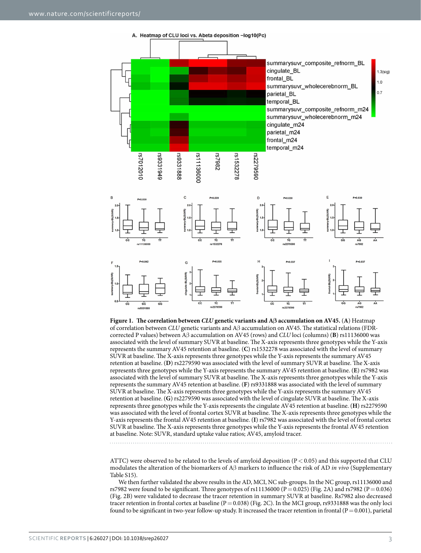

<span id="page-2-0"></span>**Figure 1. The correlation between** *CLU* **genetic variants and Aβ accumulation on AV45.** (**A**) Heatmap of correlation between *CLU* genetic variants and Aβ accumulation on AV45. The statistical relations (FDRcorrected P values) between Aβ accumulation on AV45 (rows) and *CLU* loci (columns) (**B**) rs11136000 was associated with the level of summary SUVR at baseline. The X-axis represents three genotypes while the Y-axis represents the summary AV45 retention at baseline. (**C**) rs1532278 was associated with the level of summary SUVR at baseline. The X-axis represents three genotypes while the Y-axis represents the summary AV45 retention at baseline. (**D**) rs2279590 was associated with the level of summary SUVR at baseline. The X-axis represents three genotypes while the Y-axis represents the summary AV45 retention at baseline. (**E**) rs7982 was associated with the level of summary SUVR at baseline. The X-axis represents three genotypes while the Y-axis represents the summary AV45 retention at baseline. (**F**) rs9331888 was associated with the level of summary SUVR at baseline. The X-axis represents three genotypes while the Y-axis represents the summary AV45 retention at baseline. (**G**) rs2279590 was associated with the level of cingulate SUVR at baseline. The X-axis represents three genotypes while the Y-axis represents the cingulate AV45 retention at baseline. (**H**) rs2279590 was associated with the level of frontal cortex SUVR at baseline. The X-axis represents three genotypes while the Y-axis represents the frontal AV45 retention at baseline. (**I**) rs7982 was associated with the level of frontal cortex SUVR at baseline. The X-axis represents three genotypes while the Y-axis represents the frontal AV45 retention at baseline. Note: SUVR, standard uptake value ratios; AV45, amyloid tracer.

ATTC) were observed to be related to the levels of amyloid deposition (P< 0.05) and this supported that CLU modulates the alteration of the biomarkers of Aβ markers to influence the risk of AD *in vivo* (Supplementary Table S15).

We then further validated the above results in the AD, MCI, NC sub-groups. In the NC group, rs11136000 and rs7982 were found to be significant. Three genotypes of rs11136000 (P = 0.025) [\(Fig. 2A](#page-3-1)) and rs7982 (P = 0.036) ([Fig. 2B](#page-3-1)) were validated to decrease the tracer retention in summary SUVR at baseline. Rs7982 also decreased tracer retention in frontal cortex at baseline ( $P = 0.038$ ) [\(Fig. 2C\)](#page-3-1). In the MCI group, rs9331888 was the only loci found to be significant in two-year follow-up study. It increased the tracer retention in frontal ( $P = 0.001$ ), parietal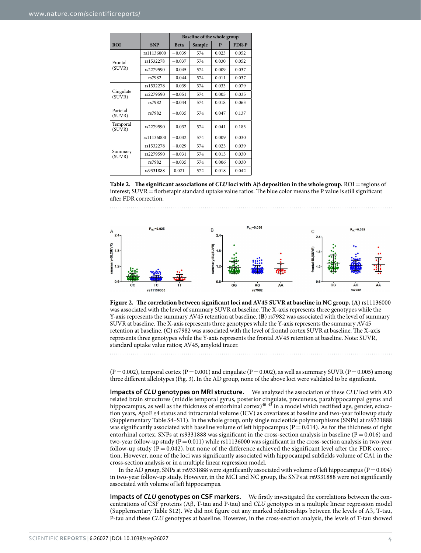<span id="page-3-0"></span>

|                     |            | Baseline of the whole group |        |       |              |  |  |  |  |
|---------------------|------------|-----------------------------|--------|-------|--------------|--|--|--|--|
| <b>ROI</b>          | <b>SNP</b> | <b>Beta</b>                 | Sample | P     | <b>FDR-P</b> |  |  |  |  |
|                     | rs11136000 | $-0.039$                    | 574    | 0.023 | 0.052        |  |  |  |  |
| Frontal             | rs1532278  | $-0.037$                    | 574    | 0.030 | 0.052        |  |  |  |  |
| (SUVR)              | rs2279590  | $-0.045$                    | 574    | 0.009 | 0.037        |  |  |  |  |
|                     | rs7982     | $-0.044$                    | 574    | 0.011 | 0.037        |  |  |  |  |
|                     | rs1532278  | $-0.039$                    | 574    | 0.033 | 0.079        |  |  |  |  |
| Cingulate<br>(SUVR) | rs2279590  | $-0.051$                    | 574    | 0.005 | 0.035        |  |  |  |  |
|                     | rs7982     | $-0.044$                    | 574    | 0.018 | 0.063        |  |  |  |  |
| Parietal<br>(SUVR)  | rs7982     | $-0.035$                    | 574    |       | 0.137        |  |  |  |  |
| Temporal<br>(SUVR)  | rs2279590  | $-0.032$                    | 574    | 0.041 | 0.183        |  |  |  |  |
|                     | rs11136000 | $-0.032$                    | 574    | 0.009 | 0.030        |  |  |  |  |
|                     | rs1532278  | $-0.029$                    | 574    | 0.023 | 0.039        |  |  |  |  |
| Summary<br>(SUVR)   | rs2279590  | $-0.031$                    | 574    | 0.013 | 0.030        |  |  |  |  |
|                     | rs7982     | $-0.035$                    | 574    | 0.006 | 0.030        |  |  |  |  |
|                     | rs9331888  | 0.021                       | 572    | 0.018 | 0.042        |  |  |  |  |





<span id="page-3-1"></span>**Figure 2. The correlation between significant loci and AV45 SUVR at baseline in NC group.** (**A**) rs11136000 was associated with the level of summary SUVR at baseline. The X-axis represents three genotypes while the Y-axis represents the summary AV45 retention at baseline. (**B**) rs7982 was associated with the level of summary SUVR at baseline. The X-axis represents three genotypes while the Y-axis represents the summary AV45 retention at baseline. (**C**) rs7982 was associated with the level of frontal cortex SUVR at baseline. The X-axis represents three genotypes while the Y-axis represents the frontal AV45 retention at baseline. Note: SUVR, standard uptake value ratios; AV45, amyloid tracer.

 $(P=0.002)$ , temporal cortex  $(P=0.001)$  and cingulate  $(P=0.002)$ , as well as summary SUVR  $(P=0.005)$  among three different allelotypes [\(Fig. 3\)](#page-4-0). In the AD group, none of the above loci were validated to be significant.

**Impacts of** *CLU* **genotypes on MRI structure.** We analyzed the association of these *CLU* loci with AD related brain structures (middle temporal gyrus, posterior cingulate, precuneus, parahippocampal gyrus and hippocampus, as well as the thickness of entorhinal cortex)<sup>[40–43](#page-8-9)</sup> in a model which rectified age, gender, education years, ApoE ε4 status and intracranial volume (ICV) as covariates at baseline and two-year followup study (Supplementary Table S4–S11). In the whole group, only single nucleotide polymorphisms (SNPs) at rs9331888 was significantly associated with baseline volume of left hippocampus ( $P = 0.014$ ). As for the thichness of right entorhinal cortex, SNPs at rs9331888 was significant in the cross-section analysis in baseline ( $P = 0.016$ ) and two-year follow-up study (P= 0.011) while rs11136000 was significant in the cross-section analysis in two-year follow-up study  $(P = 0.042)$ , but none of the difference achieved the significant level after the FDR correction. However, none of the loci was significantly associated with hippocampal subfields volume of CA1 in the cross-section analysis or in a multiple linear regression model.

In the AD group, SNPs at rs9331888 were significantly associated with volume of left hippocampus ( $P = 0.004$ ) in two-year follow-up study. However, in the MCI and NC group, the SNPs at rs9331888 were not significantly associated with volume of left hippocampus.

**Impacts of** *CLU* **genotypes on CSF markers.** We firstly investigated the correlations between the concentrations of CSF proteins (Aβ, T-tau and P-tau) and *CLU* genotypes in a multiple linear regression model (Supplementary Table S12). We did not figure out any marked relationships between the levels of Aβ, T-tau, P-tau and these *CLU* genotypes at baseline. However, in the cross-section analysis, the levels of T-tau showed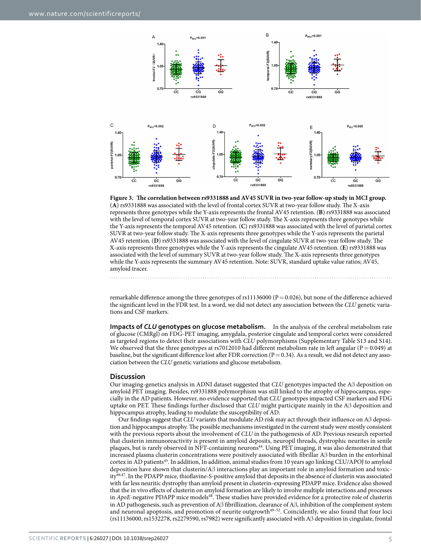

<span id="page-4-0"></span>

remarkable difference among the three genotypes of rs11136000 (P=0.026), but none of the difference achieved the significant level in the FDR test. In a word, we did not detect any association between the *CLU* genetic variations and CSF markers.

**Impacts of** *CLU* **genotypes on glucose metabolism.** In the analysis of the cerebral metabolism rate of glucose (CMRgl) on FDG-PET imaging, amygdala, posterior cingulate and temporal cortex were considered as targeted regions to detect their associations with *CLU* polymorphisms (Supplementary Table S13 and S14). We observed that the three genotypes at rs7012010 had different metabolism rate in left angular ( $P = 0.049$ ) at baseline, but the significant difference lost after FDR correction  $(P= 0.34)$ . As a result, we did not detect any association between the *CLU* genetic variations and glucose metabolism.

#### **Discussion**

Our imaging-genetics analysis in ADNI dataset suggested that *CLU* genotypes impacted the Aβ deposition on amyloid PET imaging. Besides, rs9331888 polymorphism was still linked to the atrophy of hippocampus, especially in the AD patients. However, no evidence supported that *CLU* genotypes impacted CSF markers and FDG uptake on PET. These findings further disclosed that *CLU* might participate mainly in the Aβ deposition and hippocampus atrophy, leading to modulate the susceptibility of AD.

Our findings suggest that *CLU* variants that modulate AD risk may act through their influence on Aβ deposition and hippocampus atrophy. The possible mechanisms investigated in the current study were mostly consistent with the previous reports about the involvement of *CLU* in the pathogenesis of AD. Previous research reported that clusterin immunoreactivity is present in amyloid deposits, neuropil threads, dystrophic neurites in senile plaques, but is rarely observed in NFT-containing neurons[44](#page-8-10). Using PET imaging, it was also demonstrated that increased plasma clusterin concentrations were positively associated with fibrillar Aβ burden in the entorhinal cortex in AD patients<sup>[45](#page-8-11)</sup>. In addition, In addition, animal studies from 10 years ago linking CLU/APOJ to amyloid deposition have shown that clusterin/Aβ interactions play an important role in amyloid formation and toxicity[46](#page-8-12),[47](#page-8-13). In the PDAPP mice, thioflavine-S-positive amyloid that deposits in the absence of clusterin was associated with far less neuritic dystrophy than amyloid present in clusterin-expressing PDAPP mice. Evidence also showed that the in vivo effects of clusterin on amyloid formation are likely to involve multiple interactions and processes in *ApoE*-negative PDAPP mice models<sup>48</sup>. These studies have provided evidence for a protective role of clusterin in AD pathogenesis, such as prevention of Aβ fibrillization, clearance of Aβ, inhibition of the complement system and neuronal apoptosis, and promotion of neurite outgrowth<sup>49-52</sup>. Coincidently, we also found that four loci (rs11136000, rs1532278, rs2279590, rs7982) were significantly associated with Aβ deposition in cingulate, frontal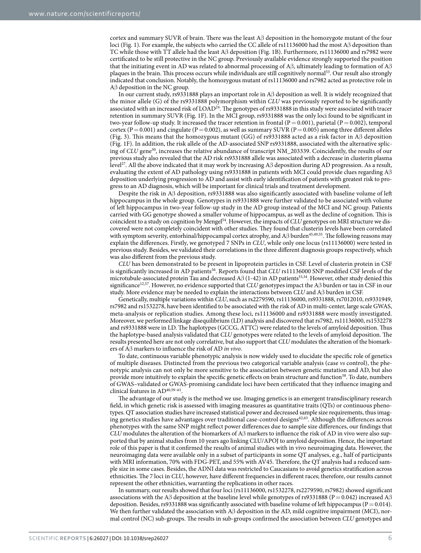cortex and summary SUVR of brain. There was the least Aβ deposition in the homozygote mutant of the four loci ([Fig. 1\)](#page-2-0). For example, the subjects who carried the CC allele of rs11136000 had the most Aβ deposition than TC while those with TT allele had the least Aβ deposition ([Fig. 1B](#page-2-0)). Furthermore, rs11136000 and rs7982 were certificated to be still protective in the NC group. Previously available evidence strongly supported the position that the initiating event in AD was related to abnormal processing of Aβ, ultimately leading to formation of Aβ plaques in the brain. This process occurs while individuals are still cognitively normal[53.](#page-8-16) Our result also strongly indicated that conclusion. Notably, the homozygous mutant of rs11136000 and rs7982 acted as protective role in Aβ deposition in the NC group.

In our current study, rs9331888 plays an important role in Aβ deposition as well. It is widely recognized that the minor allele (G) of the rs9331888 polymorphism within *CLU* was previously reported to be significantly associated with an increased risk of LOAD<sup>24</sup>. The genotypes of rs9331888 in this study were associated with tracer retention in summary SUVR [\(Fig. 1F\)](#page-2-0). In the MCI group, rs9331888 was the only loci found to be significant in two-year follow-up study. It increased the tracer retention in frontal ( $P = 0.001$ ), parietal ( $P = 0.002$ ), temporal cortex (P = 0.001) and cingulate (P = 0.002), as well as summary SUVR (P = 0.005) among three different alleles ([Fig. 3\)](#page-4-0). This means that the homozygous mutant (GG) of rs9331888 acted as a risk factor in Aβ deposition ([Fig. 1F\)](#page-2-0). In addition, the risk allele of the AD-associated SNP rs9331888, associated with the alternative splicing of *CLU* gene<sup>[30](#page-7-11)</sup>, increases the relative abundance of transcript NM\_203339. Coincidently, the results of our previous study also revealed that the AD risk rs9331888 allele was associated with a decrease in clusterin plasma level<sup>27</sup>. All the above indicated that it may work by increasing  $A\beta$  deposition during AD progression. As a result, evaluating the extent of AD pathology using rs9331888 in patients with MCI could provide clues regarding Aβ deposition underlying progression to AD and assist with early identification of patients with greatest risk to progress to an AD diagnosis, which will be important for clinical trials and treatment development.

Despite the risk in Aβ deposition, rs9331888 was also significantly associated with baseline volume of left hippocampus in the whole group. Genotypes in rs9331888 were further validated to be associated with volume of left hippocampus in two-year follow-up study in the AD group instead of the MCI and NC group. Patients carried with GG genotype showed a smaller volume of hippocampus, as well as the decline of cognition. This is coincident to a study on cognition by Menge[l54.](#page-8-17) However, the impacts of *CLU* genotypes on MRI structure we discovered were not completely coincident with other studies. They found that clusterin levels have been correlated with symptom severity, entorhinal/hippocampal cortex atrophy, and  $A\beta$  burden<sup>[45,](#page-8-11)[49](#page-8-15),[55](#page-8-18)</sup>. The following reasons may explain the differences. Firstly, we genotyped 7 SNPs in *CLU*, while only one locus (rs11136000) were tested in previous study. Besides, we validated their correlations in the three different diagnosis groups respectively, which was also different from the previous study.

*CLU* has been demonstrated to be present in lipoprotein particles in CSF. Level of clusterin protein in CSF is significantly increased in AD patients<sup>56</sup>. Reports found that *CLU* rs11136000 SNP modified CSF levels of the microtubule-associated protein Tau and decreased Aβ (1-42) in AD patient[s33](#page-8-2)[,34.](#page-8-3) However, other study denied this significance[12,](#page-7-7)[57.](#page-8-20) However, no evidence supported that *CLU* genotypes impact the Aβ burden or tau in CSF in our study. More evidence may be needed to explain the interactions between *CLU* and Aβ burden in CSF.

Genetically, multiple variations within *CLU*, such as rs2279590, rs11136000, rs9331888, rs7012010, rs9331949, rs7982 and rs1532278, have been identified to be associated with the risk of AD in multi-center, large scale GWAS, meta-analysis or replication studies. Among these loci, rs11136000 and rs9331888 were mostly investigated. Moreover, we performed linkage disequilibrium (LD) analysis and discovered that rs7982, rs11136000, rs1532278 and rs9331888 were in LD. The haplotypes (GCCG, ATTC) were related to the levels of amyloid deposition. Thus the haplotype-based analysis validated that *CLU* genotypes were related to the levels of amyloid deposition. The results presented here are not only correlative, but also support that *CLU* modulates the alteration of the biomarkers of Aβ markers to influence the risk of AD *in vivo*.

To date, continuous variable phenotypic analysis is now widely used to elucidate the specific role of genetics of multiple diseases. Distincted from the previous two categorical variable analysis (case *vs* control), the phenotypic analysis can not only be more sensitive to the association between genetic mutation and AD, but also provide more intuitively to explain the specific genetic effects on brain structure and function<sup>58</sup>. To date, numbers of GWAS–validated or GWAS-promising candidate loci have been certificated that they influence imaging and clinical features in  $AD^{40,59-61}$ .

The advantage of our study is the method we use. Imaging genetics is an emergent transdisciplinary research field, in which genetic risk is assessed with imaging measures as quantitative traits (QTs) or continuous phenotypes. QT association studies have increased statistical power and decreased sample size requirements, thus imaging genetics studies have advantages over traditional case-control designs[62,](#page-8-23)[63.](#page-8-24) Although the differences across phenotypes with the same SNP might reflect power differences due to sample size differences, our findings that *CLU* modulates the alteration of the biomarkers of Aβ markers to influence the risk of AD in vivo were also supported that by animal studies from 10 years ago linking CLU/APOJ to amyloid deposition. Hence, the important role of this paper is that it confirmed the results of animal studies with in vivo neuroimaging data. However, the neuroimaging data were available only in a subset of participants in some QT analyses, e.g., half of participants with MRI information, 70% with FDG-PET, and 55% with AV45. Therefore, the QT analysis had a reduced sample size in some cases. Besides, the ADNI data was restricted to Caucasians to avoid genetics stratification across ethnicities. The 7 loci in *CLU*, however, have different frequencies in different races; therefore, our results cannot represent the other ethnicities, warranting the replications in other races.

In summary, our results showed that four loci (rs11136000, rs1532278, rs2279590, rs7982) showed significant associations with the Aβ deposition at the baseline level while genotypes of rs9331888 (P = 0.042) increased Aβ deposition. Besides, rs9331888 was significantly associated with baseline volume of left hippocampus ( $P = 0.014$ ). We then further validated the association with Aβ deposition in the AD, mild cognitive impairment (MCI), normal control (NC) sub-groups. The results in sub-groups confirmed the association between *CLU* genotypes and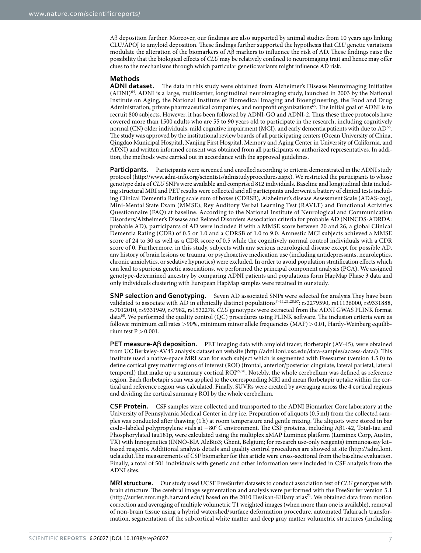Aβ deposition further. Moreover, our findings are also supported by animal studies from 10 years ago linking CLU/APOJ to amyloid deposition. These findings further supported the hypothesis that *CLU* genetic variations modulate the alteration of the biomarkers of Aβ markers to influence the risk of AD. These findings raise the possibility that the biological effects of *CLU* may be relatively confined to neuroimaging trait and hence may offer clues to the mechanisms through which particular genetic variants might influence AD risk.

#### **Methods**

**ADNI dataset.** The data in this study were obtained from Alzheimer's Disease Neuroimaging Initiative (ADNI[\)64.](#page-8-25) ADNI is a large, multicenter, longitudinal neuroimaging study, launched in 2003 by the National Institute on Aging, the National Institute of Biomedical Imaging and Bioengineering, the Food and Drug Administration, private pharmaceutical companies, and nonprofit organizations<sup>[65](#page-8-26)</sup>. The initial goal of ADNI is to recruit 800 subjects. However, it has been followed by ADNI-GO and ADNI-2. Thus these three protocols have covered more than 1500 adults who are 55 to 90 years old to participate in the research, including cognitively normal (CN) older individuals, mild cognitive impairment (MCI), and early dementia patients with due to AD<sup>66</sup>. The study was approved by the institutional review boards of all participating centers (Ocean University of China, Qingdao Municipal Hospital, Nanjing First Hospital, Memory and Aging Center in University of California, and ADNI) and written informed consent was obtained from all participants or authorized representatives. In addition, the methods were carried out in accordance with the approved guidelines.

**Participants.** Participants were screened and enrolled according to criteria demonstrated in the ADNI study protocol [\(http://www.adni-info.org/scientists/adnistudyprocedures.aspx\)](http://www.adni-info.org/scientists/adnistudyprocedures.aspx). We restricted the participants to whose genotype data of *CLU* SNPs were available and comprised 812 individuals. Baseline and longitudinal data including structural MRI and PET results were collected and all participants underwent a battery of clinical tests including Clinical Dementia Rating scale sum of boxes (CDRSB), Alzheimer's disease Assessment Scale (ADAS-cog), Mini-Mental State Exam (MMSE), Rey Auditory Verbal Learning Test (RAVLT) and Functional Activities Questionnaire (FAQ) at baseline. According to the National Institute of Neurological and Communication Disorders/Alzheimer's Disease and Related Disorders Association criteria for probable AD (NINCDS-ADRDA: probable AD), participants of AD were included if with a MMSE score between 20 and 26, a global Clinical Dementia Rating (CDR) of 0.5 or 1.0 and a CDRSB of 1.0 to 9.0. Amnestic MCI subjects achieved a MMSE score of 24 to 30 as well as a CDR score of 0.5 while the cognitively normal control individuals with a CDR score of 0. Furthermore, in this study, subjects with any serious neurological disease except for possible AD, any history of brain lesions or trauma, or psychoactive medication use (including antidepressants, neuroleptics, chronic anxiolytics, or sedative hypnotics) were excluded. In order to avoid population stratification effects which can lead to spurious genetic associations, we performed the principal component analysis (PCA). We assigned genotype-determined ancestry by comparing ADNI patients and populations form HapMap Phase 3 data and only individuals clustering with European HapMap samples were retained in our study.

**SNP selection and Genotyping.** Seven AD associated SNPs were selected for analysis.They have been validated to associate with AD in ethnically distinct populations<sup>7-11,[21,](#page-7-13)[28,](#page-7-9)67</sup>: rs2279590, rs11136000, rs9331888, rs7012010, rs9331949, rs7982, rs1532278. *CLU* genotypes were extracted from the ADNI GWAS PLINK format data<sup>68</sup>. We performed the quality control (QC) procedures using PLINK software. The inclusion criteria were as follows: minimum call rates >90%, minimum minor allele frequencies (MAF) > 0.01, Hardy-Weinberg equilibrium test  $P > 0.001$ .

**PET measure-Aβ deposition.** PET imaging data with amyloid tracer, florbetapir (AV-45), were obtained from UC Berkeley-AV45 analysis dataset on website [\(http://adni.loni.usc.edu/data-samples/access-data/\)](http://adni.loni.usc.edu/data-samples/access-data/). This institute used a native-space MRI scan for each subject which is segmented with Freesurfer (version 4.5.0) to define cortical grey matter regions of interest (ROI) (frontal, anterior/posterior cingulate, lateral parietal, lateral temporal) that make up a summary cortical ROI<sup>69[,70](#page-8-31)</sup>. Notebly, the whole cerebellum was defined as reference region. Each florbetapir scan was applied to the corresponding MRI and mean florbetapir uptake within the cortical and reference region was calculated. Finally, SUVRs were created by averaging across the 4 cortical regions and dividing the cortical summary ROI by the whole cerebellum.

**CSF Protein.** CSF samples were collected and transported to the ADNI Biomarker Core laboratory at the University of Pennsylvania Medical Center in dry ice. Preparation of aliquots (0.5 ml) from the collected samples was conducted after thawing (1h) at room temperature and gentle mixing. The aliquots were stored in bar code–labeled polypropylene vials at −80°C environment. The CSF proteins, including Aβ1-42, Total-tau and Phosphorylated tau181p, were calculated using the multiplex xMAP Luminex platform (Luminex Corp, Austin, TX) with Innogenetics (INNO-BIA AlzBio3; Ghent, Belgium; for research use-only reagents) immunoassay kit– based reagents. Additional analysis details and quality control procedures are showed at site ([http://adni.loni.](http://adni.loni.ucla.edu) [ucla.edu\)](http://adni.loni.ucla.edu).The measurements of CSF biomarker for this article were cross-sectional from the baseline evaluation. Finally, a total of 501 individuals with genetic and other information were included in CSF analysis from the ADNI sites.

**MRI structure.** Our study used UCSF FreeSurfer datasets to conduct association test of *CLU* genotypes with brain structure. The cerebral image segmentation and analysis were performed with the FreeSurfer version 5.1 (<http://surfer.nmr.mgh.harvard.edu/>) based on the 2010 Desikan-Killany atlas<sup>71</sup>. We obtained data from motion correction and averaging of multiple volumetric T1 weighted images (when more than one is available), removal of non-brain tissue using a hybrid watershed/surface deformation procedure, automated Talairach transformation, segmentation of the subcortical white matter and deep gray matter volumetric structures (including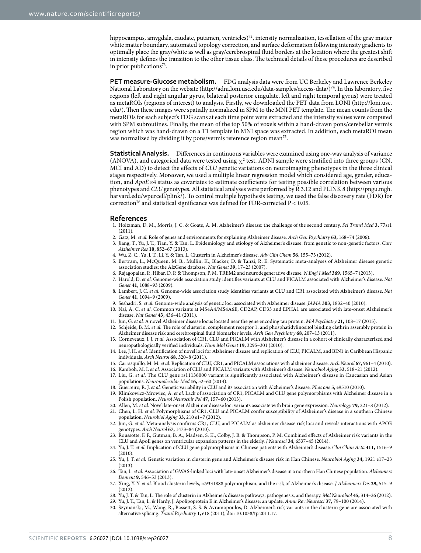hippocampus, amygdala, caudate, putamen, ventricles)<sup>[72](#page-8-33)</sup>, intensity normalization, tessellation of the gray matter white matter boundary, automated topology correction, and surface deformation following intensity gradients to optimally place the gray/white as well as gray/cerebrospinal fluid borders at the location where the greatest shift in intensity defines the transition to the other tissue class. The technical details of these procedures are described in prior publications $73$ .

**PET measure-Glucose metabolism.** FDG analysis data were from UC Berkeley and Lawrence Berkeley National Laboratory on the website [\(http://adni.loni.usc.edu/data-samples/access-data/\)](http://adni.loni.usc.edu/data-samples/access-data/)[74.](#page-8-35) In this laboratory, five regions (left and right angular gyrus, bilateral posterior cingulate, left and right temporal gyrus) were treated as metaROIs (regions of interest) to analysis. Firstly, we downloaded the PET data from LONI [\(http://loni.usc.](http://loni.usc.edu/) [edu/\)](http://loni.usc.edu/). Then these images were spatially normalized in SPM to the MNI PET template. The mean counts from the metaROIs for each subject's FDG scans at each time point were extracted and the intensity values were computed with SPM subroutines. Finally, the mean of the top 50% of voxels within a hand-drawn pons/cerebellar vermis region which was hand-drawn on a T1 template in MNI space was extracted. In addition, each metaROI mean was normalized by dividing it by pons/vermis reference region mean<sup>[75](#page-9-0)</sup>.

**Statistical Analysis.** Differences in continuous variables were examined using one-way analysis of variance (ANOVA), and categorical data were tested using  $\chi^2$  test. ADNI sample were stratified into three groups (CN, MCI and AD) to detect the effects of *CLU* genetic variations on neuroimaging phenotypes in the three clinical stages respectively. Moreover, we used a multiple linear regression model which considered age, gender, education, and *ApoE* ε4 status as covariates to estimate coefficients for testing possible correlation between various phenotypes and *CLU* genotypes. All statistical analyses were performed by R 3.12 and PLINK 8 ([http://pngu.mgh.](http://pngu.mgh.harvard.edu/wpurcell/plink/) [harvard.edu/wpurcell/plink/](http://pngu.mgh.harvard.edu/wpurcell/plink/)). To control multiple hypothesis testing, we used the false discovery rate (FDR) for correction<sup>76</sup> and statistical significance was defined for FDR-corrected P < 0.05.

#### **References**

- <span id="page-7-0"></span>1. Holtzman, D. M., Morris, J. C. & Goate, A. M. Alzheimer's disease: the challenge of the second century. *Sci Transl Med* **3,** 77sr1 (2011).
- 2. Gatz, M. *et al.* Role of genes and environments for explaining Alzheimer disease. *Arch Gen Psychiatry* **63,** 168–74 (2006).
- <span id="page-7-2"></span><span id="page-7-1"></span>3. Jiang, T., Yu, J. T., Tian, Y. & Tan, L. Epidemiology and etiology of Alzheimer's disease: from genetic to non-genetic factors. *Curr Alzheimer Res* **10,** 852–67 (2013).
- <span id="page-7-3"></span>4. Wu, Z. C., Yu, J. T., Li, Y. & Tan, L. Clusterin in Alzheimer's disease. *Adv Clin Chem* **56,** 155–73 (2012).
- <span id="page-7-4"></span>5. Bertram, L., McQueen, M. B., Mullin, K., Blacker, D. & Tanzi, R. E. Systematic meta-analyses of Alzheimer disease genetic association studies: the AlzGene database. *Nat Genet* **39,** 17–23 (2007).
- <span id="page-7-5"></span>6. Rajagopalan, P., Hibar, D. P. & Thompson, P. M. TREM2 and neurodegenerative disease. *N Engl J Med* **369,** 1565–7 (2013).
- <span id="page-7-6"></span>7. Harold, D. *et al.* Genome-wide association study identifies variants at CLU and PICALM associated with Alzheimer's disease. *Nat Genet* **41,** 1088–93 (2009).
- 8. Lambert, J. C. *et al.* Genome-wide association study identifies variants at CLU and CR1 associated with Alzheimer's disease. *Nat Genet* **41,** 1094–9 (2009).
- 9. Seshadri, S. *et al.* Genome-wide analysis of genetic loci associated with Alzheimer disease. *JAMA* **303,** 1832–40 (2010).
- 10. Naj, A. C. *et al.* Common variants at MS4A4/MS4A6E, CD2AP, CD33 and EPHA1 are associated with late-onset Alzheimer's disease. *Nat Genet* **43,** 436–41 (2011).
- <span id="page-7-7"></span>11. Jun, G. *et al.* A novel Alzheimer disease locus located near the gene encoding tau protein. *Mol Psychiatry* **21,** 108–17 (2015). 12. Schjeide, B. M. *et al.* The role of clusterin, complement receptor 1, and phosphatidylinositol binding clathrin assembly protein in
- Alzheimer disease risk and cerebrospinal fluid biomarker levels. *Arch Gen Psychiatry* **68,** 207–13 (2011). 13. Corneveaux, J. J. *et al.* Association of CR1, CLU and PICALM with Alzheimer's disease in a cohort of clinically characterized and
- neuropathologically verified individuals. *Hum Mol Genet* **19,** 3295–301 (2010).
- 14. Lee, J. H. *et al.* Identification of novel loci for Alzheimer disease and replication of CLU, PICALM, and BIN1 in Caribbean Hispanic individuals. *Arch Neurol* **68,** 320–8 (2011).
- 15. Carrasquillo, M. M. *et al.* Replication of CLU, CR1, and PICALM associations with alzheimer disease. *Arch Neurol* **67,** 961–4 (2010).
- 16. Kamboh, M. I. *et al.* Association of CLU and PICALM variants with Alzheimer's disease. *Neurobiol Aging* **33,** 518–21 (2012). 17. Liu, G. *et al.* The CLU gene rs11136000 variant is significantly associated with Alzheimer's disease in Caucasian and Asian
- populations. *Neuromolecular Med* **16,** 52–60 (2014). 18. Guerreiro, R. J. *et al.* Genetic variability in CLU and its association with Alzheimer's disease. *PLos one* **5,** e9510 (2010).
- 19. Klimkowicz-Mrowiec, A. *et al.* Lack of association of CR1, PICALM and CLU gene polymorphisms with Alzheimer disease in a Polish population. *Neurol Neurochir Pol* **47,** 157–60 (2013).
- 20. Allen, M. *et al.* Novel late-onset Alzheimer disease loci variants associate with brain gene expression. *Neurology* **79,** 221–8 (2012).
- <span id="page-7-13"></span>21. Chen, L. H. *et al.* Polymorphisms of CR1, CLU and PICALM confer susceptibility of Alzheimer's disease in a southern Chinese population. *Neurobiol Aging* **33,** 210 e1–7 (2012).
- 22. Jun, G. *et al.* Meta-analysis confirms CR1, CLU, and PICALM as alzheimer disease risk loci and reveals interactions with APOE genotypes. *Arch Neurol* **67,** 1473–84 (2010).
- 23. Roussotte, F. F., Gutman, B. A., Madsen, S. K., Colby, J. B. & Thompson, P. M. Combined effects of Alzheimer risk variants in the CLU and ApoE genes on ventricular expansion patterns in the elderly. *J Neurosci* **34,** 6537–45 (2014).
- <span id="page-7-8"></span>24. Yu, J. T. *et al.* Implication of CLU gene polymorphisms in Chinese patients with Alzheimer's disease. *Clin Chim Acta* **411,** 1516–9 (2010).
- 25. Yu, J. T. *et al.* Genetic variation in clusterin gene and Alzheimer's disease risk in Han Chinese. *Neurobiol Aging* **34,** 1921 e17–23 (2013).
- 26. Tan, L. *et al.* Association of GWAS-linked loci with late-onset Alzheimer's disease in a northern Han Chinese population. *Alzheimers Dement* **9,** 546–53 (2013).
- <span id="page-7-12"></span>27. Xing, Y. Y. *et al.* Blood clusterin levels, rs9331888 polymorphism, and the risk of Alzheimer's disease. *J Alzheimers Dis* **29,** 515–9 (2012).
- <span id="page-7-9"></span>28. Yu, J. T. & Tan, L. The role of clusterin in Alzheimer's disease: pathways, pathogenesis, and therapy. *Mol Neurobiol* **45,** 314–26 (2012).
- 29. Yu, J. T., Tan, L. & Hardy, J. Apolipoprotein E in Alzheimer's disease: an update. *Annu Rev Neurosci* **37,** 79–100 (2014). 30. Szymanski, M., Wang, R., Bassett, S. S. & Avramopoulos, D. Alzheimer's risk variants in the clusterin gene are associated with

<span id="page-7-11"></span><span id="page-7-10"></span>alternative splicing. *Transl Psychiatry* **1,** e18 (2011), doi: 10.1038/tp.2011.17.

Scientific **Reports** | 6:26027 | DOI: 10.1038/srep26027 8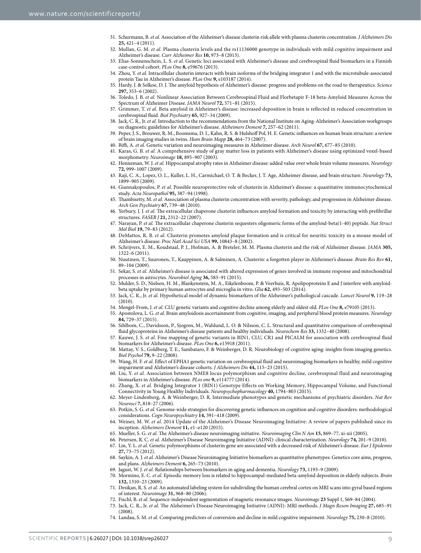- <span id="page-8-0"></span>31. Schurmann, B. *et al.* Association of the Alzheimer's disease clusterin risk allele with plasma clusterin concentration. *J Alzheimers Dis* **25,** 421–4 (2011).
- <span id="page-8-1"></span>32. Mullan, G. M. *et al.* Plasma clusterin levels and the rs11136000 genotype in individuals with mild cognitive impairment and Alzheimer's disease. *Curr Alzheimer Res* **10,** 973–8 (2013).
- <span id="page-8-2"></span>33. Elias-Sonnenschein, L. S. *et al.* Genetic loci associated with Alzheimer's disease and cerebrospinal fluid biomarkers in a Finnish case-control cohort. *PLos One* **8,** e59676 (2013).
- <span id="page-8-3"></span>34. Zhou, Y. *et al.* Intracellular clusterin interacts with brain isoforms of the bridging integrator 1 and with the microtubule-associated protein Tau in Alzheimer's disease. *PLos One* **9,** e103187 (2014).
- <span id="page-8-4"></span>35. Hardy, J. & Selkoe, D. J. The amyloid hypothesis of Alzheimer's disease: progress and problems on the road to therapeutics. *Science* **297,** 353–6 (2002).
- <span id="page-8-5"></span>36. Toledo, J. B. *et al.* Nonlinear Association Between Cerebrospinal Fluid and Florbetapir F-18 beta-Amyloid Measures Across the Spectrum of Alzheimer Disease. *JAMA Neurol* **72,** 571–81 (2015).
- <span id="page-8-6"></span>37. Grimmer, T. *et al.* Beta amyloid in Alzheimer's disease: increased deposition in brain is reflected in reduced concentration in cerebrospinal fluid. *Biol Psychiatry* **65,** 927–34 (2009).
- <span id="page-8-7"></span>38. Jack, C. R., Jr. *et al.* Introduction to the recommendations from the National Institute on Aging-Alzheimer's Association workgroups on diagnostic guidelines for Alzheimer's disease. *Alzheimers Dement* **7,** 257–62 (2011).
- <span id="page-8-8"></span>39. Peper, J. S., Brouwer, R. M., Boomsma, D. I., Kahn, R. S. & Hulshoff Pol, H. E. Genetic influences on human brain structure: a review of brain imaging studies in twins. *Hum Brain Mapp* **28,** 464–73 (2007).
- 40. Biffi, A. *et al.* Genetic variation and neuroimaging measures in Alzheimer disease. *Arch Neurol* **67,** 677–85 (2010).
- <span id="page-8-9"></span>41. Karas, G. B. *et al.* A comprehensive study of gray matter loss in patients with Alzheimer's disease using optimized voxel-based morphometry. *Neuroimage* **18,** 895–907 (2003).
- 42. Henneman, W. J. *et al.* Hippocampal atrophy rates in Alzheimer disease: added value over whole brain volume measures. *Neurology* **72,** 999–1007 (2009).
- 43. Raji, C. A., Lopez, O. L., Kuller, L. H., Carmichael, O. T. & Becker, J. T. Age, Alzheimer disease, and brain structure. *Neurology* **73,** 1899–905 (2009).
- <span id="page-8-10"></span>44. Giannakopoulos, P. *et al.* Possible neuroprotective role of clusterin in Alzheimer's disease: a quantitative immunocytochemical study. *Acta Neuropathol* **95,** 387–94 (1998).
- <span id="page-8-11"></span>45. Thambisetty, M. *et al.* Association of plasma clusterin concentration with severity, pathology, and progression in Alzheimer disease. *Arch Gen Psychiatry* **67,** 739–48 (2010).
- <span id="page-8-12"></span>46. Yerbury, J. J. *et al.* The extracellular chaperone clusterin influences amyloid formation and toxicity by interacting with prefibrillar structures. *FASEB J* **21,** 2312–22 (2007).
- <span id="page-8-13"></span>47. Narayan, P. *et al.* The extracellular chaperone clusterin sequesters oligomeric forms of the amyloid-beta(1-40) peptide. *Nat Struct Mol Biol* **19,** 79–83 (2012).
- <span id="page-8-14"></span>48. DeMattos, R. B. *et al.* Clusterin promotes amyloid plaque formation and is critical for neuritic toxicity in a mouse model of Alzheimer's disease. *Proc Natl Acad Sci USA* **99,** 10843–8 (2002).
- <span id="page-8-15"></span>49. Schrijvers, E. M., Koudstaal, P. J., Hofman, A. & Breteler, M. M. Plasma clusterin and the risk of Alzheimer disease. *JAMA* **305,** 1322–6 (2011).
- 50. Nuutinen, T., Suuronen, T., Kauppinen, A. & Salminen, A. Clusterin: a forgotten player in Alzheimer's disease. *Brain Res Rev* **61,** 89–104 (2009).
- 51. Sekar, S. *et al.* Alzheimer's disease is associated with altered expression of genes involved in immune response and mitochondrial processes in astrocytes. *Neurobiol Aging* **36,** 583–91 (2015).
- 52. Mulder, S. D., Nielsen, H. M., Blankenstein, M. A., Eikelenboom, P. & Veerhuis, R. Apolipoproteins E and J interfere with amyloidbeta uptake by primary human astrocytes and microglia in vitro. *Glia* **62,** 493–503 (2014).
- <span id="page-8-16"></span>53. Jack, C. R., Jr. *et al.* Hypothetical model of dynamic biomarkers of the Alzheimer's pathological cascade. *Lancet Neurol* **9,** 119–28 (2010).
- <span id="page-8-17"></span>54. Mengel-From, J. *et al.* CLU genetic variants and cognitive decline among elderly and oldest old. *PLos One* **8,** e79105 (2013).
- <span id="page-8-18"></span>55. Apostolova, L. G. *et al.* Brain amyloidosis ascertainment from cognitive, imaging, and peripheral blood protein measures. *Neurology* **84,** 729–37 (2015).
- <span id="page-8-19"></span>56. Sihlbom, C., Davidsson, P., Sjogren, M., Wahlund, L. O. & Nilsson, C. L. Structural and quantitative comparison of cerebrospinal fluid glycoproteins in Alzheimer's disease patients and healthy individuals. *Neurochem Res* **33,** 1332–40 (2008).
- <span id="page-8-20"></span>57. Kauwe, J. S. *et al.* Fine mapping of genetic variants in BIN1, CLU, CR1 and PICALM for association with cerebrospinal fluid biomarkers for Alzheimer's disease. *PLos One* **6,** e15918 (2011).
- <span id="page-8-21"></span>58. Mattay, V. S., Goldberg, T. E., Sambataro, F. & Weinberger, D. R. Neurobiology of cognitive aging: insights from imaging genetics. *Biol Psychol* **79,** 9–22 (2008).
- <span id="page-8-22"></span>59. Wang, H. F. *et al.* Effect of EPHA1 genetic variation on cerebrospinal fluid and neuroimaging biomarkers in healthy, mild cognitive impairment and Alzheimer's disease cohorts. *J Alzheimers Dis* **44,** 115–23 (2015).
- 60. Liu, Y. *et al.* Association between NME8 locus polymorphism and cognitive decline, cerebrospinal fluid and neuroimaging biomarkers in Alzheimer's disease. *PLos one* **9,** e114777 (2014).
- 61. Zhang, X. *et al.* Bridging Integrator 1 (BIN1) Genotype Effects on Working Memory, Hippocampal Volume, and Functional Connectivity in Young Healthy Individuals. *Neuropsychopharmacology* **40,** 1794–803 (2015).
- <span id="page-8-23"></span>62. Meyer-Lindenberg, A. & Weinberger, D. R. Intermediate phenotypes and genetic mechanisms of psychiatric disorders. *Nat Rev Neurosci* **7,** 818–27 (2006).
- <span id="page-8-24"></span>63. Potkin, S. G. *et al.* Genome-wide strategies for discovering genetic influences on cognition and cognitive disorders: methodological considerations. *Cogn Neuropsychiatry* **14,** 391–418 (2009).
- <span id="page-8-25"></span>64. Weiner, M. W. *et al.* 2014 Update of the Alzheimer's Disease Neuroimaging Initiative: A review of papers published since its inception. *Alzheimers Dement* **11,** e1–e120 (2015).
- <span id="page-8-26"></span>65. Mueller, S. G. *et al.* The Alzheimer's disease neuroimaging initiative. *Neuroimaging Clin N Am* **15,** 869–77, xi-xii (2005).
- <span id="page-8-27"></span>66. Petersen, R. C. *et al.* Alzheimer's Disease Neuroimaging Initiative (ADNI): clinical characterization. *Neurology* **74,** 201–9 (2010).
- <span id="page-8-28"></span>67. Lin, Y. L. *et al.* Genetic polymorphisms of clusterin gene are associated with a decreased risk of Alzheimer's disease. *Eur J Epidemio* **27,** 73–75 (2012).
- <span id="page-8-29"></span>68. Saykin, A. J. *et al.* Alzheimer's Disease Neuroimaging Initiative biomarkers as quantitative phenotypes: Genetics core aims, progress, and plans. *Alzheimers Dement* **6,** 265–73 (2010).
- <span id="page-8-30"></span>69. Jagust, W. J. *et al.* Relationships between biomarkers in aging and dementia. *Neurology* **73,** 1193–9 (2009).
- <span id="page-8-31"></span>70. Mormino, E. C. *et al.* Episodic memory loss is related to hippocampal-mediated beta-amyloid deposition in elderly subjects. *Brain* **132,** 1310–23 (2009).
- <span id="page-8-32"></span>71. Desikan, R. S. *et al.* An automated labeling system for subdividing the human cerebral cortex on MRI scans into gyral based regions of interest. *Neuroimage* **31,** 968–80 (2006).
- <span id="page-8-34"></span><span id="page-8-33"></span>72. Fischl, B. *et al.* Sequence-independent segmentation of magnetic resonance images. *Neuroimage* **23** Suppl 1, S69–84 (2004).
- 73. Jack, C. R., Jr. *et al.* The Alzheimer's Disease Neuroimaging Initiative (ADNI): MRI methods. *J Magn Reson Imaging* **27,** 685–91  $(2008)$
- <span id="page-8-35"></span>74. Landau, S. M. *et al.* Comparing predictors of conversion and decline in mild cognitive impairment. *Neurology* **75,** 230–8 (2010).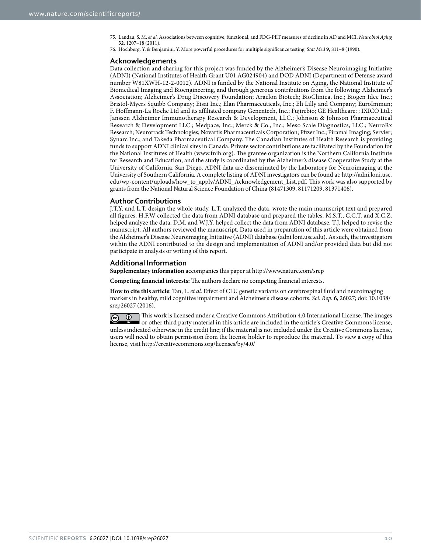- <span id="page-9-0"></span>75. Landau, S. M. *et al.* Associations between cognitive, functional, and FDG-PET measures of decline in AD and MCI. *Neurobiol Aging* **32,** 1207–18 (2011).
- <span id="page-9-1"></span>76. Hochberg, Y. & Benjamini, Y. More powerful procedures for multiple significance testing. *Stat Med* **9,** 811–8 (1990).

#### **Acknowledgements**

Data collection and sharing for this project was funded by the Alzheimer's Disease Neuroimaging Initiative (ADNI) (National Institutes of Health Grant U01 AG024904) and DOD ADNI (Department of Defense award number W81XWH-12-2-0012). ADNI is funded by the National Institute on Aging, the National Institute of Biomedical Imaging and Bioengineering, and through generous contributions from the following: Alzheimer's Association; Alzheimer's Drug Discovery Foundation; Araclon Biotech; BioClinica, Inc.; Biogen Idec Inc.; Bristol-Myers Squibb Company; Eisai Inc.; Elan Pharmaceuticals, Inc.; Eli Lilly and Company; EuroImmun; F. Hoffmann-La Roche Ltd and its affiliated company Genentech, Inc.; Fujirebio; GE Healthcare; ; IXICO Ltd.; Janssen Alzheimer Immunotherapy Research & Development, LLC.; Johnson & Johnson Pharmaceutical Research & Development LLC.; Medpace, Inc.; Merck & Co., Inc.; Meso Scale Diagnostics, LLC.; NeuroRx Research; Neurotrack Technologies; Novartis Pharmaceuticals Corporation; Pfizer Inc.; Piramal Imaging; Servier; Synarc Inc.; and Takeda Pharmaceutical Company. The Canadian Institutes of Health Research is providing funds to support ADNI clinical sites in Canada. Private sector contributions are facilitated by the Foundation for the National Institutes of Health ([www.fnih.org](http://www.fnih.org)). The grantee organization is the Northern California Institute for Research and Education, and the study is coordinated by the Alzheimer's disease Cooperative Study at the University of California, San Diego. ADNI data are disseminated by the Laboratory for Neuroimaging at the University of Southern California. A complete listing of ADNI investigators can be found at: [http://adni.loni.usc.](http://adni.loni.usc.edu/wp-content/uploads/how_to_apply/ADNI_Acknowledgement_List.pdf) [edu/wp-content/uploads/how\\_to\\_apply/ADNI\\_Acknowledgement\\_List.pdf.](http://adni.loni.usc.edu/wp-content/uploads/how_to_apply/ADNI_Acknowledgement_List.pdf) This work was also supported by grants from the National Natural Science Foundation of China (81471309, 81171209, 81371406).

#### **Author Contributions**

J.T.Y. and L.T. design the whole study. L.T. analyzed the data, wrote the main manuscript text and prepared all figures. H.F.W collected the data from ADNI database and prepared the tables. M.S.T., C.C.T. and X.C.Z. helped analyze the data. D.M. and W.J.Y. helped collect the data from ADNI database. T.J. helped to revise the manuscript. All authors reviewed the manuscript. Data used in preparation of this article were obtained from the Alzheimer's Disease Neuroimaging Initiative (ADNI) database (adni.loni.usc.edu). As such, the investigators within the ADNI contributed to the design and implementation of ADNI and/or provided data but did not participate in analysis or writing of this report.

#### **Additional Information**

**Supplementary information** accompanies this paper at <http://www.nature.com/srep>

**Competing financial interests:** The authors declare no competing financial interests.

**How to cite this article**: Tan, L. *et al.* Effect of CLU genetic variants on cerebrospinal fluid and neuroimaging markers in healthy, mild cognitive impairment and Alzheimer's disease cohorts. *Sci. Rep.* **6**, 26027; doi: 10.1038/ srep26027 (2016).

This work is licensed under a Creative Commons Attribution 4.0 International License. The images or other third party material in this article are included in the article's Creative Commons license, unless indicated otherwise in the credit line; if the material is not included under the Creative Commons license, users will need to obtain permission from the license holder to reproduce the material. To view a copy of this license, visit <http://creativecommons.org/licenses/by/4.0/>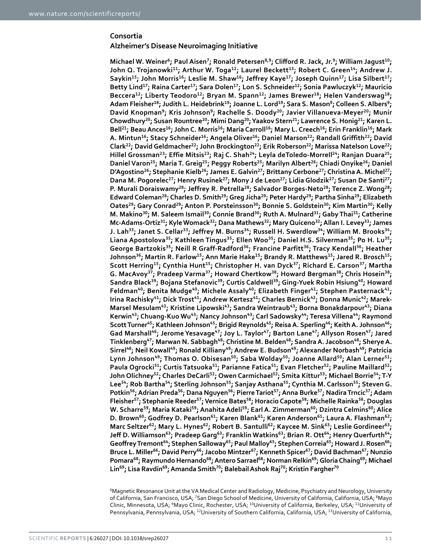### **Consortia**

**Alzheimer's Disease Neuroimaging Initiative**

Michael W. Weiner<sup>6</sup>; Paul Aisen<sup>7</sup>; Ronald Petersen<sup>8,9</sup>; Clifford R. Jack, Jr.<sup>9</sup>; William Jagust<sup>10</sup>; John Q. Trojanowki<sup>11</sup>; Arthur W. Toga<sup>12</sup>; Laurel Beckett<sup>13</sup>; Robert C. Green<sup>14</sup>; Andrew J. Saykin<sup>15</sup>; John Morris<sup>16</sup>; Leslie M. Shaw<sup>16</sup>; Jeffrey Kaye<sup>17</sup>; Joseph Quinn<sup>17</sup>; Lisa Silbert<sup>17</sup>; Betty Lind<sup>17</sup>; Raina Carter<sup>17</sup>; Sara Dolen<sup>17</sup>; Lon S. Schneider<sup>12</sup>; Sonia Pawluczyk<sup>12</sup>; Mauricio Beccera<sup>12</sup>; Liberty Teodoro<sup>12</sup>; Bryan M. Spann<sup>12</sup>; James Brewer<sup>18</sup>; Helen Vanderswag<sup>18</sup>; Adam Fleisher<sup>18</sup>; Judith L. Heidebrink<sup>19</sup>; Joanne L. Lord<sup>19</sup>; Sara S. Mason<sup>9</sup>; Colleen S. Albers<sup>9</sup>; **David Knopman9; Kris Johnson9; Rachelle S. Doody20; Javier Villanueva-Meyer20; Munir**  Chowdhury<sup>20</sup>; Susan Rountree<sup>20</sup>; Mimi Dang<sup>20</sup>; Yaakov Stern<sup>21</sup>; Lawrence S. Honig<sup>21</sup>; Karen L. Bell<sup>21</sup>; Beau Ances<sup>16</sup>; John C. Morris<sup>16</sup>; Maria Carroll<sup>16</sup>; Mary L. Creech<sup>16</sup>; Erin Franklin<sup>16</sup>; Mark A. Mintun<sup>16</sup>; Stacy Schneider<sup>16</sup>; Angela Oliver<sup>16</sup>; Daniel Marson<sup>22</sup>; Randall Griffith<sup>22</sup>; David Clark<sup>22</sup>; David Geldmacher<sup>22</sup>; John Brockington<sup>22</sup>; Erik Roberson<sup>22</sup>; Marissa Natelson Love<sup>22</sup>; Hillel Grossman<sup>23</sup>; Effie Mitsis<sup>23</sup>; Raj C. Shah<sup>24</sup>; Leyla deToledo-Morrell<sup>24</sup>; Ranjan Duara<sup>25</sup>; Daniel Varon<sup>25</sup>; Maria T. Greig<sup>25</sup>; Peggy Roberts<sup>25</sup>; Marilyn Albert<sup>26</sup>; Chiadi Onyike<sup>26</sup>; Daniel D'Agostino<sup>26</sup>; Stephanie Kielb<sup>26</sup>; James E. Galvin<sup>27</sup>; Brittany Cerbone<sup>27</sup>; Christina A. Michel<sup>27</sup>; Dana M. Pogorelec<sup>27</sup>; Henry Rusinek<sup>27</sup>; Mony J de Leon<sup>27</sup>; Lidia Glodzik<sup>27</sup>; Susan De Santi<sup>27</sup>; **P. Murali Doraiswamy28; Jeffrey R. Petrella28; Salvador Borges-Neto28; Terence Z. Wong28; Edward Coleman28; Charles D. Smith29; Greg Jicha29; Peter Hardy29; Partha Sinha29; Elizabeth**  Oates<sup>29</sup>; Gary Conrad<sup>29</sup>; Anton P. Porsteinsson<sup>30</sup>; Bonnie S. Goldstein<sup>30</sup>; Kim Martin<sup>30</sup>; Kelly **M. Makino<sup>30</sup>; M. Saleem Ismail<sup>30</sup>; Connie Brand<sup>30</sup>; Ruth A. Mulnard<sup>31</sup>; Gaby Thai<sup>31</sup>; Catherine Mc-Adams-Ortiz31; Kyle Womack32; Dana Mathews32; Mary Quiceno32; Allan I. Levey33; James J. Lah33; Janet S. Cellar33; Jeffrey M. Burns34; Russell H. Swerdlow34; William M. Brooks34;**  Liana Apostolova<sup>35</sup>; Kathleen Tingus<sup>35</sup>; Ellen Woo<sup>35</sup>; Daniel H.S. Silverman<sup>35</sup>; Po H. Lu<sup>35</sup>; George Bartzokis<sup>35</sup>; Neill R Graff-Radford<sup>36</sup>; Francine Parfitt<sup>36</sup>; Tracy Kendall<sup>36</sup>; Heather **Johnson36; Martin R. Farlow15; Ann Marie Hake15; Brandy R. Matthews15; Jared R. Brosch15;**  Scott Herring<sup>15</sup>; Cynthia Hunt<sup>15</sup>; Christopher H. van Dyck<sup>37</sup>; Richard E. Carson<sup>37</sup>; Martha **G. MacAvoy37; Pradeep Varma37; Howard Chertkow38; Howard Bergman38; Chris Hosein38; Sandra Black39; Bojana Stefanovic39; Curtis Caldwell39; Ging-Yuek Robin Hsiung40; Howard**  Feldman<sup>40</sup>; Benita Mudge<sup>40</sup>; Michele Assaly<sup>40</sup>; Elizabeth Finger<sup>41</sup>; Stephen Pasternack<sup>41</sup>; Irina Rachisky<sup>41</sup>; Dick Trost<sup>41</sup>; Andrew Kertesz<sup>41</sup>; Charles Bernick<sup>42</sup>; Donna Munic<sup>42</sup>; Marek-Marsel Mesulam<sup>43</sup>; Kristine Lipowski<sup>43</sup>; Sandra Weintraub<sup>43</sup>; Borna Bonakdarpour<sup>43</sup>; Diana Kerwin<sup>43</sup>; Chuang-Kuo Wu<sup>43</sup>; Nancy Johnson<sup>43</sup>; Carl Sadowsky<sup>44</sup>; Teresa Villena<sup>44</sup>; Raymond Scott Turner<sup>45</sup>; Kathleen Johnson<sup>45</sup>; Brigid Reynolds<sup>45</sup>; Reisa A. Sperling<sup>46</sup>; Keith A. Johnson<sup>46</sup>; Gad Marshall<sup>46</sup>; Jerome Yesavage<sup>47</sup>; Joy L. Taylor<sup>47</sup>; Barton Lane<sup>47</sup>; Allyson Rosen<sup>47</sup>; Jared Tinklenberg<sup>47</sup>; Marwan N. Sabbagh<sup>48</sup>; Christine M. Belden<sup>48</sup>; Sandra A. Jacobson<sup>48</sup>; Sherye A. Sirrel<sup>48</sup>; Neil Kowall<sup>49</sup>; Ronald Killiany<sup>49</sup>; Andrew E. Budson<sup>49</sup>; Alexander Norbash<sup>49</sup>; Patricia Lynn Johnson<sup>49</sup>; Thomas O. Obisesan<sup>50</sup>; Saba Wolday<sup>50</sup>; Joanne Allard<sup>50</sup>; Alan Lerner<sup>51</sup>; Paula Ogrocki<sup>51</sup>; Curtis Tatsuoka<sup>51</sup>; Parianne Fatica<sup>51</sup>; Evan Fletcher<sup>52</sup>; Pauline Maillard<sup>52</sup>; John Olichney<sup>52</sup>; Charles DeCarli<sup>52</sup>; Owen Carmichael<sup>52</sup>; Smita Kittur<sup>53</sup>; Michael Borrie<sup>54</sup>; T-Y Lee<sup>54</sup>; Rob Bartha<sup>54</sup>; Sterling Johnson<sup>55</sup>; Sanjay Asthana<sup>55</sup>; Cynthia M. Carlsson<sup>55</sup>; Steven G. Potkin<sup>56</sup>; Adrian Preda<sup>56</sup>; Dana Nguyen<sup>56</sup>; Pierre Tariot<sup>57</sup>; Anna Burke<sup>57</sup>; Nadira Trncic<sup>57</sup>; Adam Fleisher<sup>57</sup>; Stephanie Reeder<sup>57</sup>; Vernice Bates<sup>58</sup>; Horacio Capote<sup>58</sup>; Michelle Rainka<sup>58</sup>; Douglas W. Scharre<sup>59</sup>; Maria Kataki<sup>59</sup>; Anahita Adeli<sup>59</sup>; Earl A. Zimmerman<sup>60</sup>; Dzintra Celmins<sup>60</sup>; Alice D. Brown<sup>60</sup>; Godfrey D. Pearlson<sup>61</sup>; Karen Blank<sup>61</sup>; Karen Anderson<sup>61</sup>; Laura A. Flashman<sup>62</sup>; Marc Seltzer<sup>62</sup>; Mary L. Hynes<sup>62</sup>; Robert B. Santulli<sup>62</sup>; Kaycee M. Sink<sup>63</sup>; Leslie Gordineer<sup>63</sup>; Jeff D. Williamson<sup>63</sup>; Pradeep Garg<sup>63</sup>; Franklin Watkins<sup>63</sup>; Brian R. Ott<sup>64</sup>; Henry Querfurth<sup>64</sup>; Geoffrey Tremont<sup>64</sup>; Stephen Salloway<sup>65</sup>; Paul Malloy<sup>65</sup>; Stephen Correia<sup>65</sup>; Howard J. Rosen<sup>66</sup>; **Bruce L. Miller66; David Perry66; Jacobo Mintzer67; Kenneth Spicer67; David Bachman67; Nunzio**  Pomara<sup>68</sup>; Raymundo Hernando<sup>68</sup>; Antero Sarrael<sup>68</sup>; Norman Relkin<sup>69</sup>; Gloria Chaing<sup>69</sup>; Michael **Lin69; Lisa Ravdin69; Amanda Smith70; Balebail Ashok Raj70; Kristin Fargher70**

<sup>6</sup>Magnetic Resonance Unit at the VA Medical Center and Radiology, Medicine, Psychiatry and Neurology, University of California, San Francisco, USA; <sup>7</sup>San Diego School of Medicine, University of California, California, USA; <sup>8</sup>Mayo Clinic, Minnesota, USA; <sup>9</sup>Mayo Clinic, Rochester, USA; <sup>10</sup>University of California, Berkeley, USA; <sup>11</sup>University of Pennsylvania, Pennsylvania, USA; <sup>12</sup>University of Southern California, California, USA; <sup>13</sup>University of California,